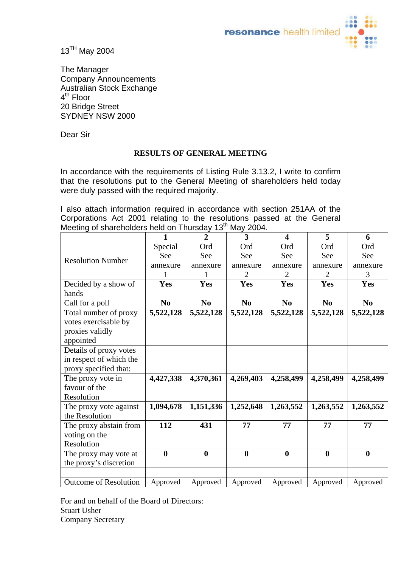

13<sup>TH</sup> May 2004

The Manager Company Announcements Australian Stock Exchange 4<sup>th</sup> Floor 20 Bridge Street SYDNEY NSW 2000

Dear Sir

## **RESULTS OF GENERAL MEETING**

In accordance with the requirements of Listing Rule 3.13.2, I write to confirm that the resolutions put to the General Meeting of shareholders held today were duly passed with the required majority.

I also attach information required in accordance with section 251AA of the Corporations Act 2001 relating to the resolutions passed at the General Meeting of shareholders held on Thursday 13<sup>th</sup> May 2004.

|                              | 1                | $\overline{2}$ | 3                | 4              | 5              | 6                |
|------------------------------|------------------|----------------|------------------|----------------|----------------|------------------|
|                              | Special          | Ord            | Ord              | Ord            | Ord            | Ord              |
| <b>Resolution Number</b>     | See              | See            | See              | See            | See            | See              |
|                              | annexure         | annexure       | annexure         | annexure       | annexure       | annexure         |
|                              | 1                | 1              | $\overline{2}$   | $\overline{2}$ | 2              | 3                |
| Decided by a show of         | <b>Yes</b>       | <b>Yes</b>     | Yes              | Yes            | Yes            | <b>Yes</b>       |
| hands                        |                  |                |                  |                |                |                  |
| Call for a poll              | N <sub>0</sub>   | N <sub>0</sub> | N <sub>0</sub>   | N <sub>0</sub> | N <sub>0</sub> | N <sub>0</sub>   |
| Total number of proxy        | 5,522,128        | 5,522,128      | 5,522,128        | 5,522,128      | 5,522,128      | 5,522,128        |
| votes exercisable by         |                  |                |                  |                |                |                  |
| proxies validly              |                  |                |                  |                |                |                  |
| appointed                    |                  |                |                  |                |                |                  |
| Details of proxy votes       |                  |                |                  |                |                |                  |
| in respect of which the      |                  |                |                  |                |                |                  |
| proxy specified that:        |                  |                |                  |                |                |                  |
| The proxy vote in            | 4,427,338        | 4,370,361      | 4,269,403        | 4,258,499      | 4,258,499      | 4,258,499        |
| favour of the                |                  |                |                  |                |                |                  |
| Resolution                   |                  |                |                  |                |                |                  |
| The proxy vote against       | 1,094,678        | 1,151,336      | 1,252,648        | 1,263,552      | 1,263,552      | 1,263,552        |
| the Resolution               |                  |                |                  |                |                |                  |
| The proxy abstain from       | 112              | 431            | 77               | 77             | 77             | 77               |
| voting on the                |                  |                |                  |                |                |                  |
| Resolution                   |                  |                |                  |                |                |                  |
| The proxy may vote at        | $\boldsymbol{0}$ | $\bf{0}$       | $\boldsymbol{0}$ | $\bf{0}$       | $\mathbf{0}$   | $\boldsymbol{0}$ |
| the proxy's discretion       |                  |                |                  |                |                |                  |
|                              |                  |                |                  |                |                |                  |
| <b>Outcome of Resolution</b> | Approved         | Approved       | Approved         | Approved       | Approved       | Approved         |

For and on behalf of the Board of Directors: Stuart Usher Company Secretary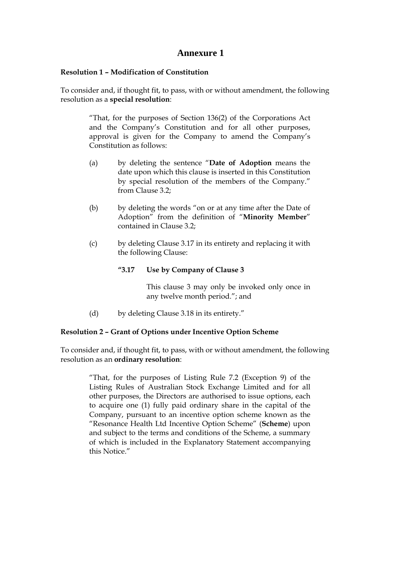## **Annexure 1**

#### **Resolution 1 – Modification of Constitution**

To consider and, if thought fit, to pass, with or without amendment, the following resolution as a **special resolution**:

> "That, for the purposes of Section 136(2) of the Corporations Act and the Company's Constitution and for all other purposes, approval is given for the Company to amend the Company's Constitution as follows:

- (a) by deleting the sentence "**Date of Adoption** means the date upon which this clause is inserted in this Constitution by special resolution of the members of the Company." from Clause 3.2;
- (b) by deleting the words "on or at any time after the Date of Adoption" from the definition of "**Minority Member**" contained in Clause 3.2;
- (c) by deleting Clause 3.17 in its entirety and replacing it with the following Clause:

#### **"3.17 Use by Company of Clause 3**

This clause 3 may only be invoked only once in any twelve month period."; and

(d) by deleting Clause 3.18 in its entirety."

#### **Resolution 2 – Grant of Options under Incentive Option Scheme**

To consider and, if thought fit, to pass, with or without amendment, the following resolution as an **ordinary resolution**:

> "That, for the purposes of Listing Rule 7.2 (Exception 9) of the Listing Rules of Australian Stock Exchange Limited and for all other purposes, the Directors are authorised to issue options, each to acquire one (1) fully paid ordinary share in the capital of the Company, pursuant to an incentive option scheme known as the "Resonance Health Ltd Incentive Option Scheme" (**Scheme**) upon and subject to the terms and conditions of the Scheme, a summary of which is included in the Explanatory Statement accompanying this Notice."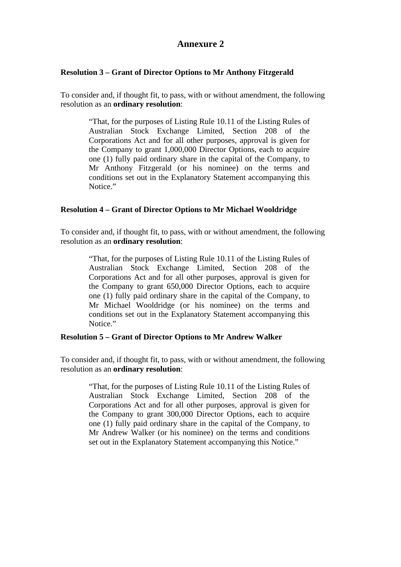# **Annexure 2**

## **Resolution 3 – Grant of Director Options to Mr Anthony Fitzgerald**

To consider and, if thought fit, to pass, with or without amendment, the following resolution as an **ordinary resolution**:

> "That, for the purposes of Listing Rule 10.11 of the Listing Rules of Australian Stock Exchange Limited, Section 208 of the Corporations Act and for all other purposes, approval is given for the Company to grant 1,000,000 Director Options, each to acquire one (1) fully paid ordinary share in the capital of the Company, to Mr Anthony Fitzgerald (or his nominee) on the terms and conditions set out in the Explanatory Statement accompanying this Notice."

## **Resolution 4 – Grant of Director Options to Mr Michael Wooldridge**

To consider and, if thought fit, to pass, with or without amendment, the following resolution as an **ordinary resolution**:

> "That, for the purposes of Listing Rule 10.11 of the Listing Rules of Australian Stock Exchange Limited, Section 208 of the Corporations Act and for all other purposes, approval is given for the Company to grant 650,000 Director Options, each to acquire one (1) fully paid ordinary share in the capital of the Company, to Mr Michael Wooldridge (or his nominee) on the terms and conditions set out in the Explanatory Statement accompanying this Notice."

## **Resolution 5 – Grant of Director Options to Mr Andrew Walker**

To consider and, if thought fit, to pass, with or without amendment, the following resolution as an **ordinary resolution**:

> "That, for the purposes of Listing Rule 10.11 of the Listing Rules of Australian Stock Exchange Limited, Section 208 of the Corporations Act and for all other purposes, approval is given for the Company to grant 300,000 Director Options, each to acquire one (1) fully paid ordinary share in the capital of the Company, to Mr Andrew Walker (or his nominee) on the terms and conditions set out in the Explanatory Statement accompanying this Notice."